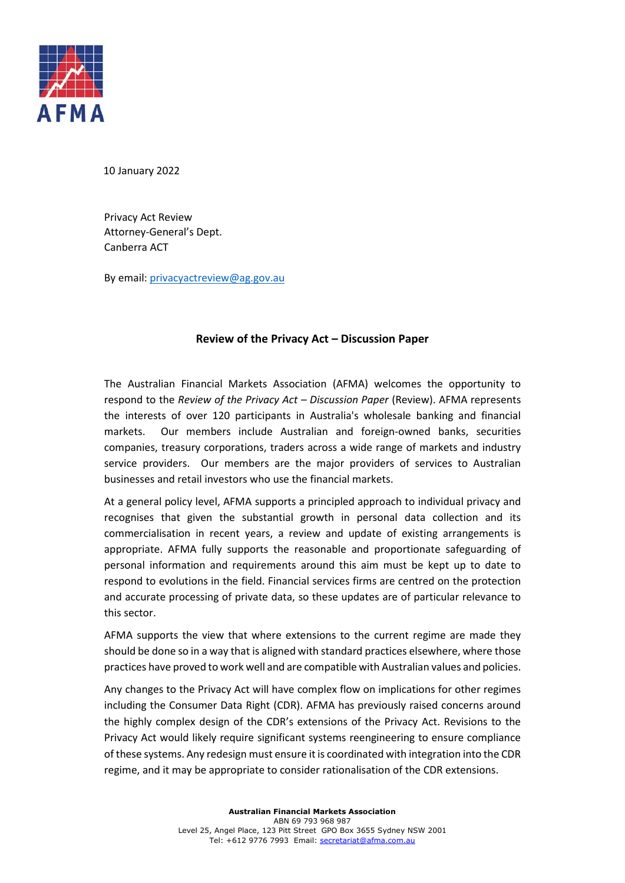

10 January 2022

Privacy Act Review Attorney-General's Dept. Canberra ACT

By email[: privacyactreview@ag.gov.au](mailto:privacyactreview@ag.gov.au)

#### **Review of the Privacy Act – Discussion Paper**

The Australian Financial Markets Association (AFMA) welcomes the opportunity to respond to the *Review of the Privacy Act – Discussion Paper* (Review). AFMA represents the interests of over 120 participants in Australia's wholesale banking and financial markets. Our members include Australian and foreign-owned banks, securities companies, treasury corporations, traders across a wide range of markets and industry service providers. Our members are the major providers of services to Australian businesses and retail investors who use the financial markets.

At a general policy level, AFMA supports a principled approach to individual privacy and recognises that given the substantial growth in personal data collection and its commercialisation in recent years, a review and update of existing arrangements is appropriate. AFMA fully supports the reasonable and proportionate safeguarding of personal information and requirements around this aim must be kept up to date to respond to evolutions in the field. Financial services firms are centred on the protection and accurate processing of private data, so these updates are of particular relevance to this sector.

AFMA supports the view that where extensions to the current regime are made they should be done so in a way that is aligned with standard practices elsewhere, where those practices have proved to work well and are compatible with Australian values and policies.

Any changes to the Privacy Act will have complex flow on implications for other regimes including the Consumer Data Right (CDR). AFMA has previously raised concerns around the highly complex design of the CDR's extensions of the Privacy Act. Revisions to the Privacy Act would likely require significant systems reengineering to ensure compliance of these systems. Any redesign must ensure it is coordinated with integration into the CDR regime, and it may be appropriate to consider rationalisation of the CDR extensions.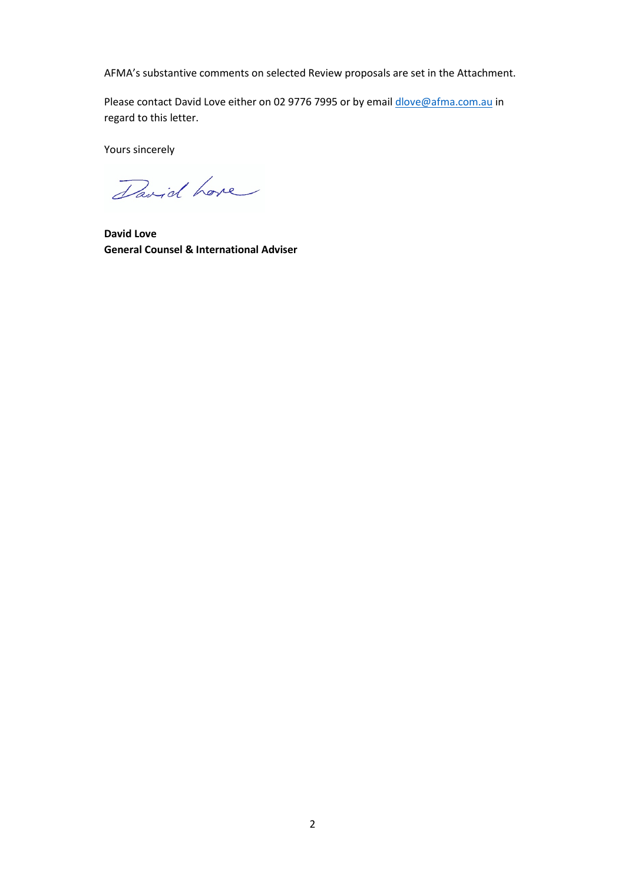AFMA's substantive comments on selected Review proposals are set in the Attachment.

Please contact David Love either on 02 9776 7995 or by emai[l dlove@afma.com.au](mailto:dlove@afma.com.au) in regard to this letter.

Yours sincerely

David Love

**David Love General Counsel & International Adviser**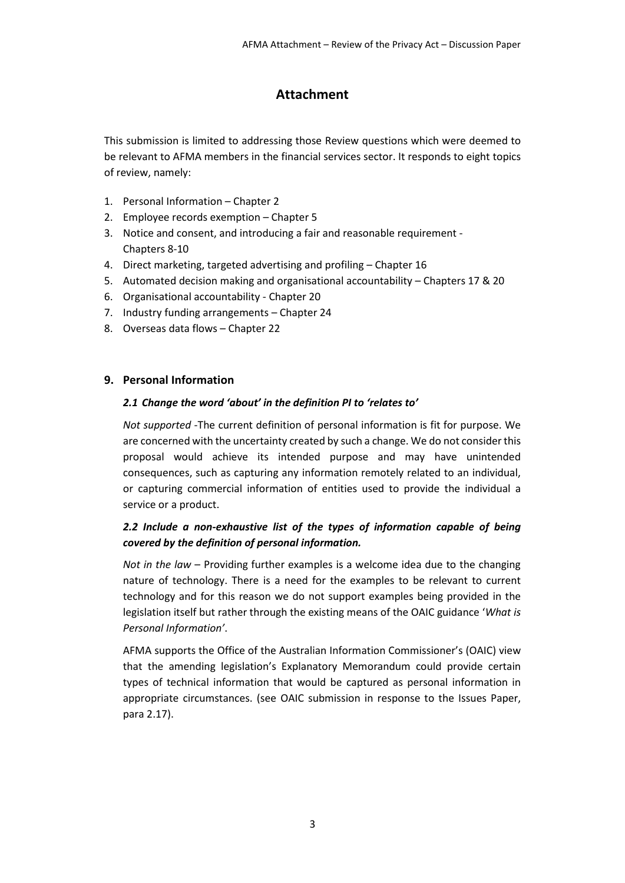# **Attachment**

This submission is limited to addressing those Review questions which were deemed to be relevant to AFMA members in the financial services sector. It responds to eight topics of review, namely:

- 1. Personal Information Chapter 2
- 2. Employee records exemption Chapter 5
- 3. Notice and consent, and introducing a fair and reasonable requirement Chapters 8-10
- 4. Direct marketing, targeted advertising and profiling Chapter 16
- 5. Automated decision making and organisational accountability Chapters 17 & 20
- 6. Organisational accountability Chapter 20
- 7. Industry funding arrangements Chapter 24
- 8. Overseas data flows Chapter 22

#### **9. Personal Information**

#### *2.1 Change the word 'about' in the definition PI to 'relates to'*

*Not supported* -The current definition of personal information is fit for purpose. We are concerned with the uncertainty created by such a change. We do not consider this proposal would achieve its intended purpose and may have unintended consequences, such as capturing any information remotely related to an individual, or capturing commercial information of entities used to provide the individual a service or a product.

### *2.2 Include a non-exhaustive list of the types of information capable of being covered by the definition of personal information.*

*Not in the law* – Providing further examples is a welcome idea due to the changing nature of technology. There is a need for the examples to be relevant to current technology and for this reason we do not support examples being provided in the legislation itself but rather through the existing means of the OAIC guidance '*What is Personal Information'*.

AFMA supports the Office of the Australian Information Commissioner's (OAIC) view that the amending legislation's Explanatory Memorandum could provide certain types of technical information that would be captured as personal information in appropriate circumstances. (see OAIC submission in response to the Issues Paper, para 2.17).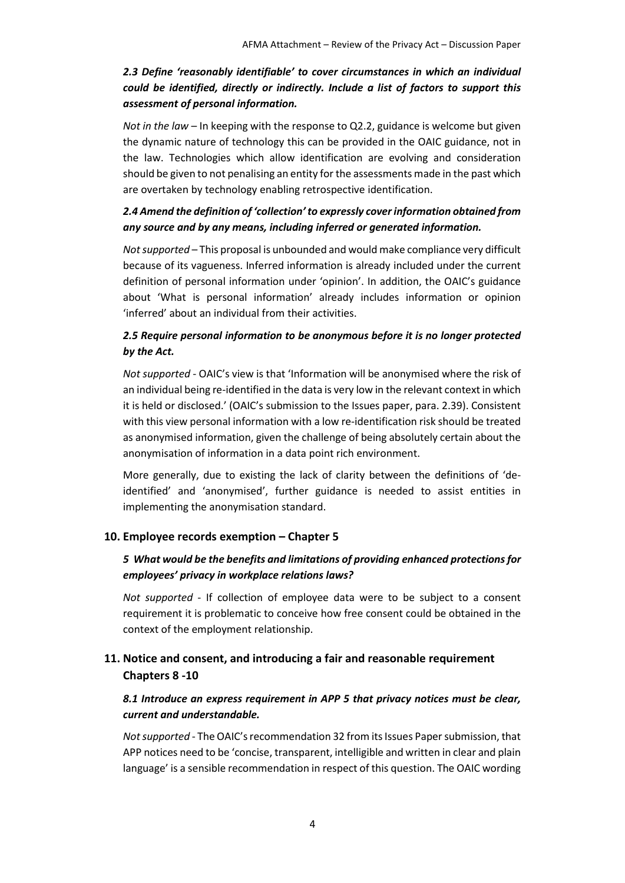# *2.3 Define 'reasonably identifiable' to cover circumstances in which an individual could be identified, directly or indirectly. Include a list of factors to support this assessment of personal information.*

*Not in the law* – In keeping with the response to Q2.2, guidance is welcome but given the dynamic nature of technology this can be provided in the OAIC guidance, not in the law. Technologies which allow identification are evolving and consideration should be given to not penalising an entity for the assessments made in the past which are overtaken by technology enabling retrospective identification.

### *2.4 Amend the definition of 'collection' to expressly cover information obtained from any source and by any means, including inferred or generated information.*

*Not supported* – This proposal is unbounded and would make compliance very difficult because of its vagueness. Inferred information is already included under the current definition of personal information under 'opinion'. In addition, the OAIC's guidance about 'What is personal information' already includes information or opinion 'inferred' about an individual from their activities.

#### *2.5 Require personal information to be anonymous before it is no longer protected by the Act.*

*Not supported* - OAIC's view is that 'Information will be anonymised where the risk of an individual being re-identified in the data is very low in the relevant context in which it is held or disclosed.' (OAIC's submission to the Issues paper, para. 2.39). Consistent with this view personal information with a low re-identification risk should be treated as anonymised information, given the challenge of being absolutely certain about the anonymisation of information in a data point rich environment.

More generally, due to existing the lack of clarity between the definitions of 'deidentified' and 'anonymised', further guidance is needed to assist entities in implementing the anonymisation standard.

#### **10. Employee records exemption – Chapter 5**

### *5 What would be the benefits and limitations of providing enhanced protections for employees' privacy in workplace relations laws?*

*Not supported* - If collection of employee data were to be subject to a consent requirement it is problematic to conceive how free consent could be obtained in the context of the employment relationship.

# **11. Notice and consent, and introducing a fair and reasonable requirement Chapters 8 -10**

### *8.1 Introduce an express requirement in APP 5 that privacy notices must be clear, current and understandable.*

*Not supported* - The OAIC's recommendation 32 from its Issues Paper submission, that APP notices need to be 'concise, transparent, intelligible and written in clear and plain language' is a sensible recommendation in respect of this question. The OAIC wording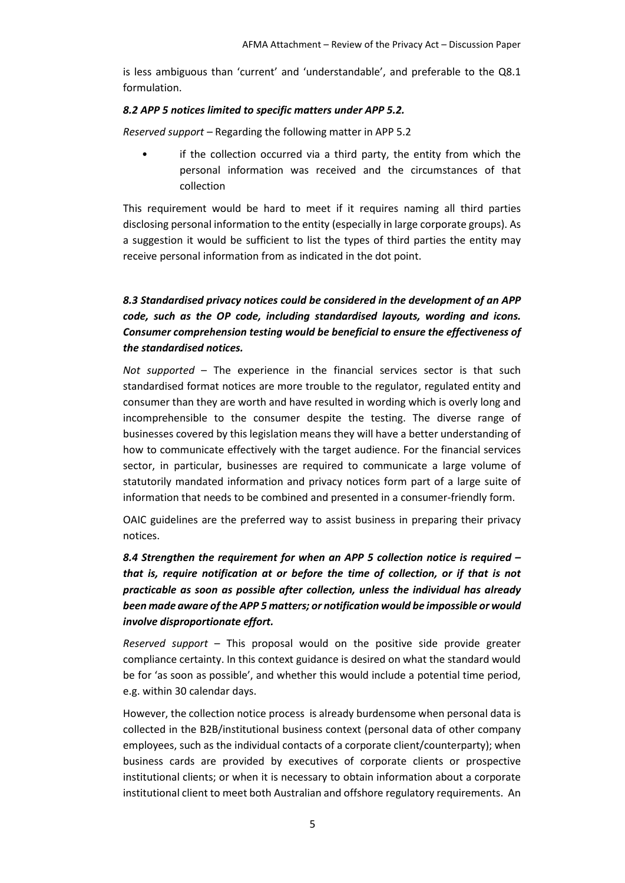is less ambiguous than 'current' and 'understandable', and preferable to the Q8.1 formulation.

#### *8.2 APP 5 notices limited to specific matters under APP 5.2.*

*Reserved support –* Regarding the following matter in APP 5.2

if the collection occurred via a third party, the entity from which the personal information was received and the circumstances of that collection

This requirement would be hard to meet if it requires naming all third parties disclosing personal information to the entity (especially in large corporate groups). As a suggestion it would be sufficient to list the types of third parties the entity may receive personal information from as indicated in the dot point.

# *8.3 Standardised privacy notices could be considered in the development of an APP code, such as the OP code, including standardised layouts, wording and icons. Consumer comprehension testing would be beneficial to ensure the effectiveness of the standardised notices.*

*Not supported* – The experience in the financial services sector is that such standardised format notices are more trouble to the regulator, regulated entity and consumer than they are worth and have resulted in wording which is overly long and incomprehensible to the consumer despite the testing. The diverse range of businesses covered by this legislation means they will have a better understanding of how to communicate effectively with the target audience. For the financial services sector, in particular, businesses are required to communicate a large volume of statutorily mandated information and privacy notices form part of a large suite of information that needs to be combined and presented in a consumer-friendly form.

OAIC guidelines are the preferred way to assist business in preparing their privacy notices.

*8.4 Strengthen the requirement for when an APP 5 collection notice is required – that is, require notification at or before the time of collection, or if that is not practicable as soon as possible after collection, unless the individual has already been made aware of the APP 5 matters; or notification would be impossible or would involve disproportionate effort.*

*Reserved support* – This proposal would on the positive side provide greater compliance certainty. In this context guidance is desired on what the standard would be for 'as soon as possible', and whether this would include a potential time period, e.g. within 30 calendar days.

However, the collection notice process is already burdensome when personal data is collected in the B2B/institutional business context (personal data of other company employees, such as the individual contacts of a corporate client/counterparty); when business cards are provided by executives of corporate clients or prospective institutional clients; or when it is necessary to obtain information about a corporate institutional client to meet both Australian and offshore regulatory requirements. An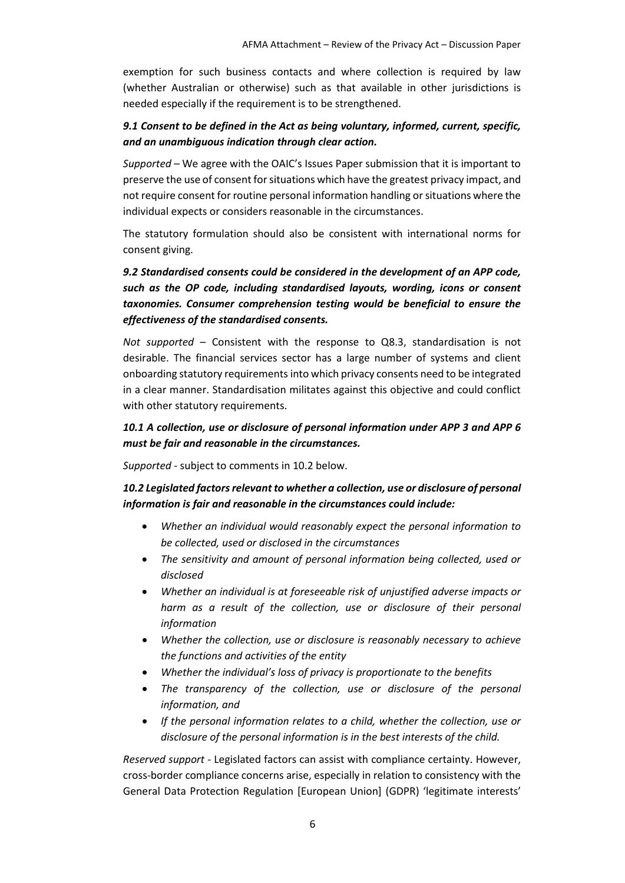exemption for such business contacts and where collection is required by law (whether Australian or otherwise) such as that available in other jurisdictions is needed especially if the requirement is to be strengthened.

### *9.1 Consent to be defined in the Act as being voluntary, informed, current, specific, and an unambiguous indication through clear action.*

*Supported* – We agree with the OAIC's Issues Paper submission that it is important to preserve the use of consent for situations which have the greatest privacy impact, and not require consent for routine personal information handling or situations where the individual expects or considers reasonable in the circumstances.

The statutory formulation should also be consistent with international norms for consent giving.

*9.2 Standardised consents could be considered in the development of an APP code, such as the OP code, including standardised layouts, wording, icons or consent taxonomies. Consumer comprehension testing would be beneficial to ensure the effectiveness of the standardised consents.*

*Not supported* – Consistent with the response to Q8.3, standardisation is not desirable. The financial services sector has a large number of systems and client onboarding statutory requirements into which privacy consents need to be integrated in a clear manner. Standardisation militates against this objective and could conflict with other statutory requirements.

### *10.1 A collection, use or disclosure of personal information under APP 3 and APP 6 must be fair and reasonable in the circumstances.*

*Supported* - subject to comments in 10.2 below.

*10.2 Legislated factors relevant to whether a collection, use or disclosure of personal information is fair and reasonable in the circumstances could include:*

- *Whether an individual would reasonably expect the personal information to be collected, used or disclosed in the circumstances*
- *The sensitivity and amount of personal information being collected, used or disclosed*
- *Whether an individual is at foreseeable risk of unjustified adverse impacts or harm as a result of the collection, use or disclosure of their personal information*
- *Whether the collection, use or disclosure is reasonably necessary to achieve the functions and activities of the entity*
- *Whether the individual's loss of privacy is proportionate to the benefits*
- *The transparency of the collection, use or disclosure of the personal information, and*
- *If the personal information relates to a child, whether the collection, use or disclosure of the personal information is in the best interests of the child.*

*Reserved support* - Legislated factors can assist with compliance certainty. However, cross-border compliance concerns arise, especially in relation to consistency with the General Data Protection Regulation [European Union] (GDPR) 'legitimate interests'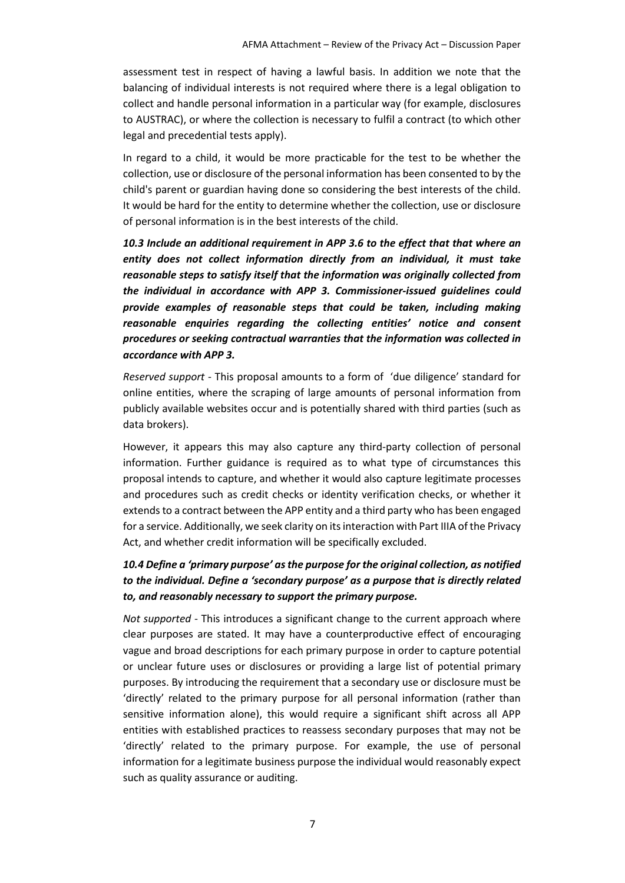assessment test in respect of having a lawful basis. In addition we note that the balancing of individual interests is not required where there is a legal obligation to collect and handle personal information in a particular way (for example, disclosures to AUSTRAC), or where the collection is necessary to fulfil a contract (to which other legal and precedential tests apply).

In regard to a child, it would be more practicable for the test to be whether the collection, use or disclosure of the personal information has been consented to by the child's parent or guardian having done so considering the best interests of the child. It would be hard for the entity to determine whether the collection, use or disclosure of personal information is in the best interests of the child.

*10.3 Include an additional requirement in APP 3.6 to the effect that that where an entity does not collect information directly from an individual, it must take reasonable steps to satisfy itself that the information was originally collected from the individual in accordance with APP 3. Commissioner-issued guidelines could provide examples of reasonable steps that could be taken, including making reasonable enquiries regarding the collecting entities' notice and consent procedures or seeking contractual warranties that the information was collected in accordance with APP 3.*

*Reserved support* - This proposal amounts to a form of 'due diligence' standard for online entities, where the scraping of large amounts of personal information from publicly available websites occur and is potentially shared with third parties (such as data brokers).

However, it appears this may also capture any third-party collection of personal information. Further guidance is required as to what type of circumstances this proposal intends to capture, and whether it would also capture legitimate processes and procedures such as credit checks or identity verification checks, or whether it extends to a contract between the APP entity and a third party who has been engaged for a service. Additionally, we seek clarity on its interaction with Part IIIA of the Privacy Act, and whether credit information will be specifically excluded.

### *10.4 Define a 'primary purpose' as the purpose for the original collection, as notified to the individual. Define a 'secondary purpose' as a purpose that is directly related to, and reasonably necessary to support the primary purpose.*

*Not supported* - This introduces a significant change to the current approach where clear purposes are stated. It may have a counterproductive effect of encouraging vague and broad descriptions for each primary purpose in order to capture potential or unclear future uses or disclosures or providing a large list of potential primary purposes. By introducing the requirement that a secondary use or disclosure must be 'directly' related to the primary purpose for all personal information (rather than sensitive information alone), this would require a significant shift across all APP entities with established practices to reassess secondary purposes that may not be 'directly' related to the primary purpose. For example, the use of personal information for a legitimate business purpose the individual would reasonably expect such as quality assurance or auditing.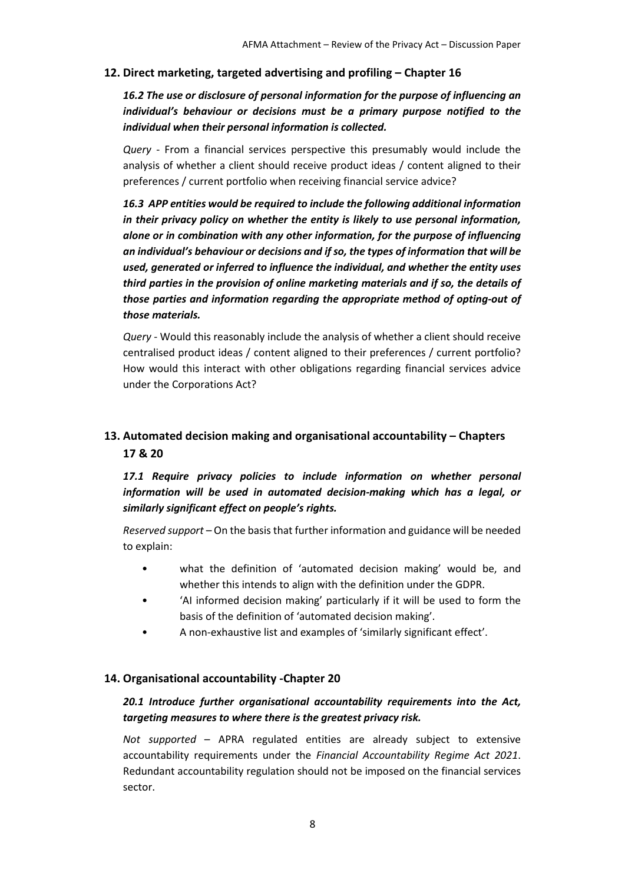#### **12. Direct marketing, targeted advertising and profiling – Chapter 16**

*16.2 The use or disclosure of personal information for the purpose of influencing an individual's behaviour or decisions must be a primary purpose notified to the individual when their personal information is collected.*

*Query* - From a financial services perspective this presumably would include the analysis of whether a client should receive product ideas / content aligned to their preferences / current portfolio when receiving financial service advice?

*16.3 APP entities would be required to include the following additional information in their privacy policy on whether the entity is likely to use personal information, alone or in combination with any other information, for the purpose of influencing an individual's behaviour or decisions and if so, the types of information that will be used, generated or inferred to influence the individual, and whether the entity uses third parties in the provision of online marketing materials and if so, the details of those parties and information regarding the appropriate method of opting-out of those materials.*

*Query* - Would this reasonably include the analysis of whether a client should receive centralised product ideas / content aligned to their preferences / current portfolio? How would this interact with other obligations regarding financial services advice under the Corporations Act?

# **13. Automated decision making and organisational accountability – Chapters 17 & 20**

*17.1 Require privacy policies to include information on whether personal information will be used in automated decision-making which has a legal, or similarly significant effect on people's rights.*

*Reserved support* – On the basis that further information and guidance will be needed to explain:

- what the definition of 'automated decision making' would be, and whether this intends to align with the definition under the GDPR.
- 'AI informed decision making' particularly if it will be used to form the basis of the definition of 'automated decision making'.
- A non-exhaustive list and examples of 'similarly significant effect'.

#### **14. Organisational accountability -Chapter 20**

### *20.1 Introduce further organisational accountability requirements into the Act, targeting measures to where there is the greatest privacy risk.*

*Not supported* – APRA regulated entities are already subject to extensive accountability requirements under the *Financial Accountability Regime Act 2021*. Redundant accountability regulation should not be imposed on the financial services sector.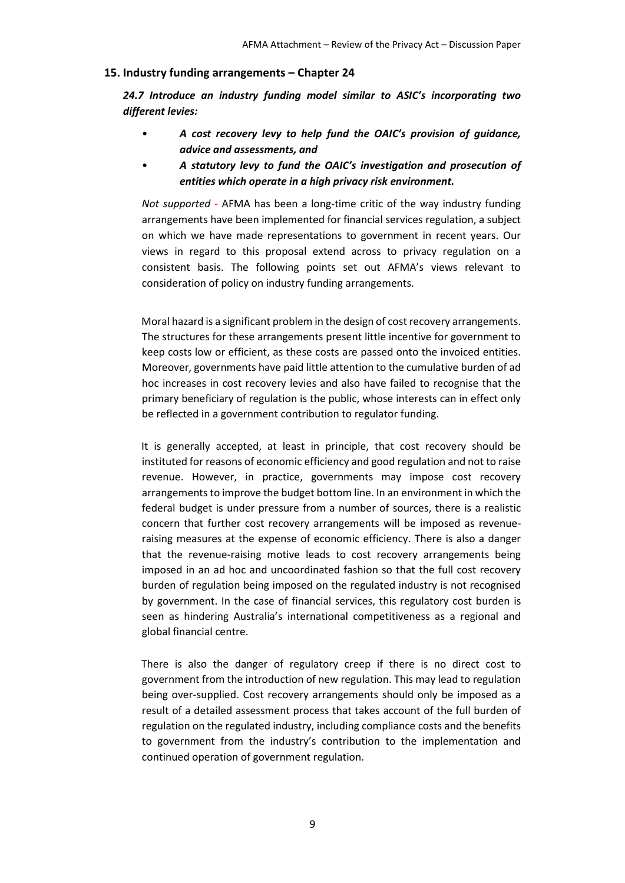#### **15. Industry funding arrangements – Chapter 24**

*24.7 Introduce an industry funding model similar to ASIC's incorporating two different levies:*

- *A cost recovery levy to help fund the OAIC's provision of guidance, advice and assessments, and*
- *A statutory levy to fund the OAIC's investigation and prosecution of entities which operate in a high privacy risk environment.*

*Not supported* - AFMA has been a long-time critic of the way industry funding arrangements have been implemented for financial services regulation, a subject on which we have made representations to government in recent years. Our views in regard to this proposal extend across to privacy regulation on a consistent basis. The following points set out AFMA's views relevant to consideration of policy on industry funding arrangements.

Moral hazard is a significant problem in the design of cost recovery arrangements. The structures for these arrangements present little incentive for government to keep costs low or efficient, as these costs are passed onto the invoiced entities. Moreover, governments have paid little attention to the cumulative burden of ad hoc increases in cost recovery levies and also have failed to recognise that the primary beneficiary of regulation is the public, whose interests can in effect only be reflected in a government contribution to regulator funding.

It is generally accepted, at least in principle, that cost recovery should be instituted for reasons of economic efficiency and good regulation and not to raise revenue. However, in practice, governments may impose cost recovery arrangements to improve the budget bottom line. In an environment in which the federal budget is under pressure from a number of sources, there is a realistic concern that further cost recovery arrangements will be imposed as revenueraising measures at the expense of economic efficiency. There is also a danger that the revenue-raising motive leads to cost recovery arrangements being imposed in an ad hoc and uncoordinated fashion so that the full cost recovery burden of regulation being imposed on the regulated industry is not recognised by government. In the case of financial services, this regulatory cost burden is seen as hindering Australia's international competitiveness as a regional and global financial centre.

There is also the danger of regulatory creep if there is no direct cost to government from the introduction of new regulation. This may lead to regulation being over-supplied. Cost recovery arrangements should only be imposed as a result of a detailed assessment process that takes account of the full burden of regulation on the regulated industry, including compliance costs and the benefits to government from the industry's contribution to the implementation and continued operation of government regulation.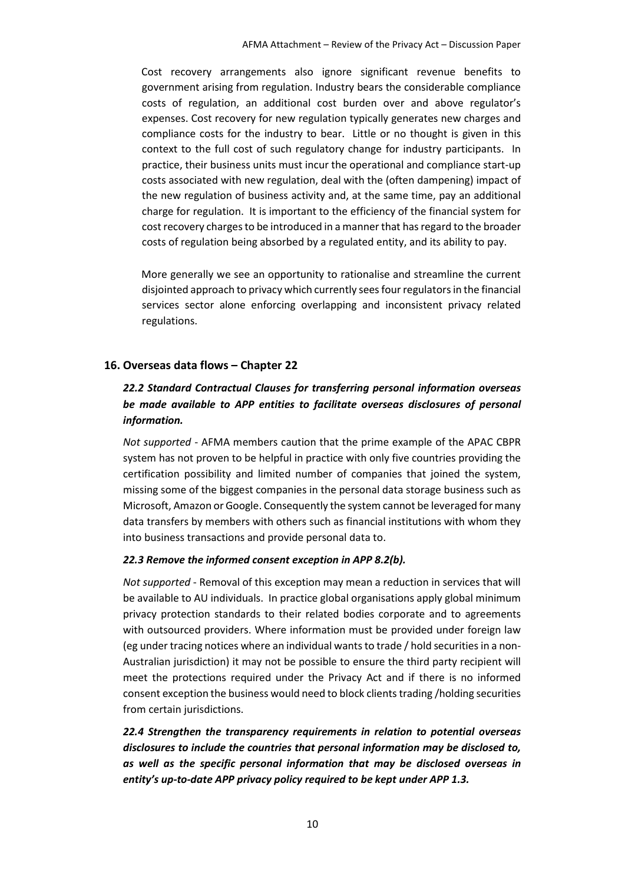Cost recovery arrangements also ignore significant revenue benefits to government arising from regulation. Industry bears the considerable compliance costs of regulation, an additional cost burden over and above regulator's expenses. Cost recovery for new regulation typically generates new charges and compliance costs for the industry to bear. Little or no thought is given in this context to the full cost of such regulatory change for industry participants. In practice, their business units must incur the operational and compliance start-up costs associated with new regulation, deal with the (often dampening) impact of the new regulation of business activity and, at the same time, pay an additional charge for regulation. It is important to the efficiency of the financial system for cost recovery charges to be introduced in a manner that has regard to the broader costs of regulation being absorbed by a regulated entity, and its ability to pay.

More generally we see an opportunity to rationalise and streamline the current disjointed approach to privacy which currently sees four regulators in the financial services sector alone enforcing overlapping and inconsistent privacy related regulations.

#### **16. Overseas data flows – Chapter 22**

### *22.2 Standard Contractual Clauses for transferring personal information overseas be made available to APP entities to facilitate overseas disclosures of personal information.*

*Not supported* - AFMA members caution that the prime example of the APAC CBPR system has not proven to be helpful in practice with only five countries providing the certification possibility and limited number of companies that joined the system, missing some of the biggest companies in the personal data storage business such as Microsoft, Amazon or Google. Consequently the system cannot be leveraged for many data transfers by members with others such as financial institutions with whom they into business transactions and provide personal data to.

#### *22.3 Remove the informed consent exception in APP 8.2(b).*

*Not supported* - Removal of this exception may mean a reduction in services that will be available to AU individuals. In practice global organisations apply global minimum privacy protection standards to their related bodies corporate and to agreements with outsourced providers. Where information must be provided under foreign law (eg under tracing notices where an individual wants to trade / hold securities in a non-Australian jurisdiction) it may not be possible to ensure the third party recipient will meet the protections required under the Privacy Act and if there is no informed consent exception the business would need to block clients trading /holding securities from certain jurisdictions.

*22.4 Strengthen the transparency requirements in relation to potential overseas disclosures to include the countries that personal information may be disclosed to, as well as the specific personal information that may be disclosed overseas in entity's up-to-date APP privacy policy required to be kept under APP 1.3.*